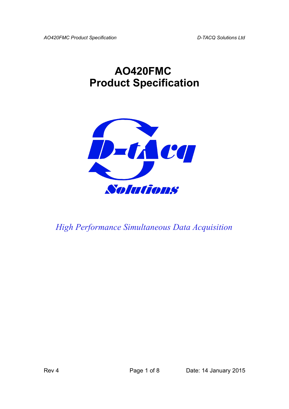# **AO420FMC Product Specification**



*High Performance Simultaneous Data Acquisition*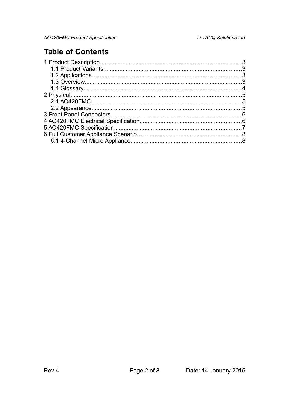### **Table of Contents**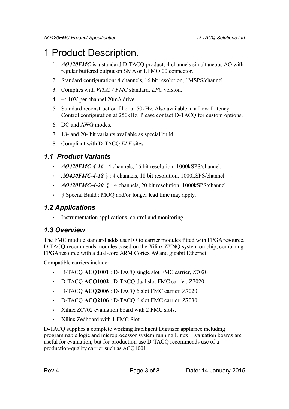# <span id="page-2-3"></span>1 Product Description.

- 1. *AO420FMC* is a standard D-TACQ product, 4 channels simultaneous AO with regular buffered output on SMA or LEMO 00 connector.
- 2. Standard configuration: 4 channels, 16 bit resolution, 1MSPS/channel
- 3. Complies with *VITA57 FMC* standard, *LPC* version.
- 4. +/-10V per channel 20mA drive.
- 5. Standard reconstruction filter at 50kHz. Also available in a Low-Latency Control configuration at 250kHz. Please contact D-TACQ for custom options.
- 6. DC and AWG modes.
- 7. 18- and 20- bit variants available as special build.
- 8. Compliant with D-TACQ *ELF* sites.

#### *1.1 Product Variants*

- <span id="page-2-2"></span>• *AO420FMC-4-16* : 4 channels, 16 bit resolution, 1000kSPS/channel.
- *AO420FMC-4-18* § : 4 channels, 18 bit resolution, 1000kSPS/channel.
- $A0420FMC-4-20$  § : 4 channels, 20 bit resolution, 1000kSPS/channel.
- § Special Build : MOQ and/or longer lead time may apply.

#### <span id="page-2-1"></span>*1.2 Applications*

• Instrumentation applications, control and monitoring.

#### <span id="page-2-0"></span>*1.3 Overview*

The FMC module standard adds user IO to carrier modules fitted with FPGA resource. D-TACQ recommends modules based on the Xilinx ZYNQ system on chip, combining FPGA resource with a dual-core ARM Cortex A9 and gigabit Ethernet.

Compatible carriers include:

- D-TACQ **ACQ1001** : D-TACQ single slot FMC carrier, Z7020
- D-TACQ **ACQ1002** : D-TACQ dual slot FMC carrier, Z7020
- D-TACQ **ACQ2006** : D-TACQ 6 slot FMC carrier, Z7020
- D-TACQ **ACQ2106** : D-TACQ 6 slot FMC carrier, Z7030
- Xilinx ZC702 evaluation board with 2 FMC slots.
- Xilinx Zedboard with 1 FMC Slot.

D-TACQ supplies a complete working Intelligent Digitizer appliance including programmable logic and microprocessor system running Linux. Evaluation boards are useful for evaluation, but for production use D-TACQ recommends use of a production-quality carrier such as ACQ1001.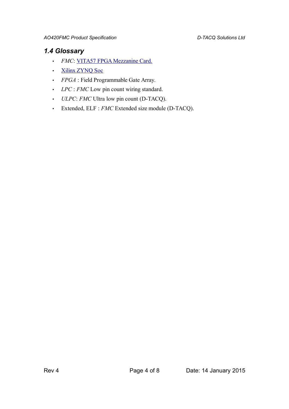#### <span id="page-3-0"></span>*1.4 Glossary*

- *FMC*: [VITA57 FPGA Mezzanine Card.](http://www.vita.com/fmc.html)
- [Xilinx ZYNQ Soc](http://www.xilinx.com/products/silicon-devices/soc/zynq-7000/index.htm)
- *FPGA* : Field Programmable Gate Array.
- *LPC* : *FMC* Low pin count wiring standard.
- *ULPC*: *FMC* Ultra low pin count (D-TACQ).
- Extended, ELF : *FMC* Extended size module (D-TACQ).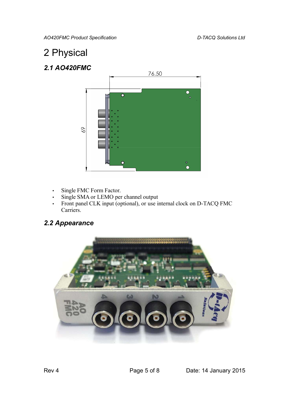*AO420FMC Product Specification D-TACQ Solutions Ltd*

# <span id="page-4-2"></span>2 Physical

### <span id="page-4-1"></span>*2.1 AO420FMC*



- Single FMC Form Factor.
- Single SMA or LEMO per channel output
- Front panel CLK input (optional), or use internal clock on D-TACQ FMC Carriers.

### <span id="page-4-0"></span>*2.2 Appearance*

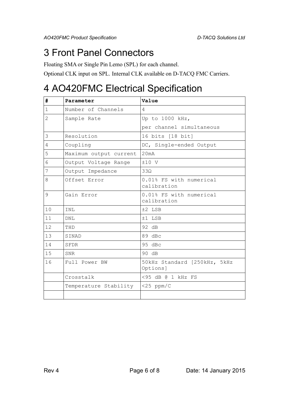### <span id="page-5-1"></span>3 Front Panel Connectors

Floating SMA or Single Pin Lemo (SPL) for each channel.

Optional CLK input on SPL. Internal CLK available on D-TACQ FMC Carriers.

## <span id="page-5-0"></span>4 AO420FMC Electrical Specification

| #              | Parameter              | Value                                    |
|----------------|------------------------|------------------------------------------|
| $\mathbf{1}$   | Number of Channels     | 4                                        |
| $\overline{2}$ | Sample Rate            | Up to 1000 kHz,                          |
|                |                        | per channel simultaneous                 |
| 3              | Resolution             | 16 bits [18 bit]                         |
| 4              | Coupling               | DC, Single-ended Output                  |
| 5              | Maximum output current | 20mA                                     |
| 6              | Output Voltage Range   | $±10$ V                                  |
| 7              | Output Impedance       | $33\Omega$                               |
| 8              | Offset Error           | 0.01% FS with numerical<br>calibration   |
| 9              | Gain Error             | 0.01% FS with numerical<br>calibration   |
| 1 <sub>0</sub> | INL                    | ±2 LSB                                   |
| 11             | <b>DNL</b>             | $±1$ LSB                                 |
| 12             | THD                    | 92 dB                                    |
| 13             | SINAD                  | 89 dBc                                   |
| 14             | SFDR                   | 95 dBc                                   |
| 15             | SNR                    | 90 dB                                    |
| 16             | Full Power BW          | 50kHz Standard [250kHz, 5kHz<br>Options] |
|                | Crosstalk              | <95 dB @ 1 kHz FS                        |
|                | Temperature Stability  | $<$ 25 ppm/C                             |
|                |                        |                                          |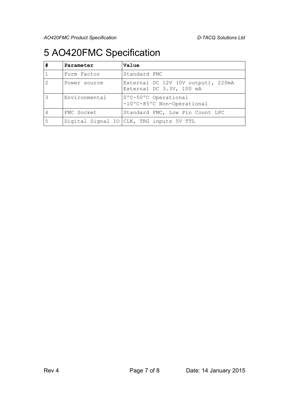*AO420FMC Product Specification D-TACQ Solutions Ltd*

# <span id="page-6-0"></span>5 AO420FMC Specification

| # | Parameter     | Value                                                          |
|---|---------------|----------------------------------------------------------------|
|   | Form Factor   | Standard FMC                                                   |
|   | Power source  | External DC 12V (OV output), 220mA<br>External DC 3.3V, 100 mA |
|   | Environmental | 0°C-50°C Operational<br>-10°C-85°C Non-Operational             |
| 4 | FMC Socket    | Standard FMC, Low Pin Count LPC                                |
| 5 |               | Digital Signal IO CLK, TRG inputs 5V TTL                       |